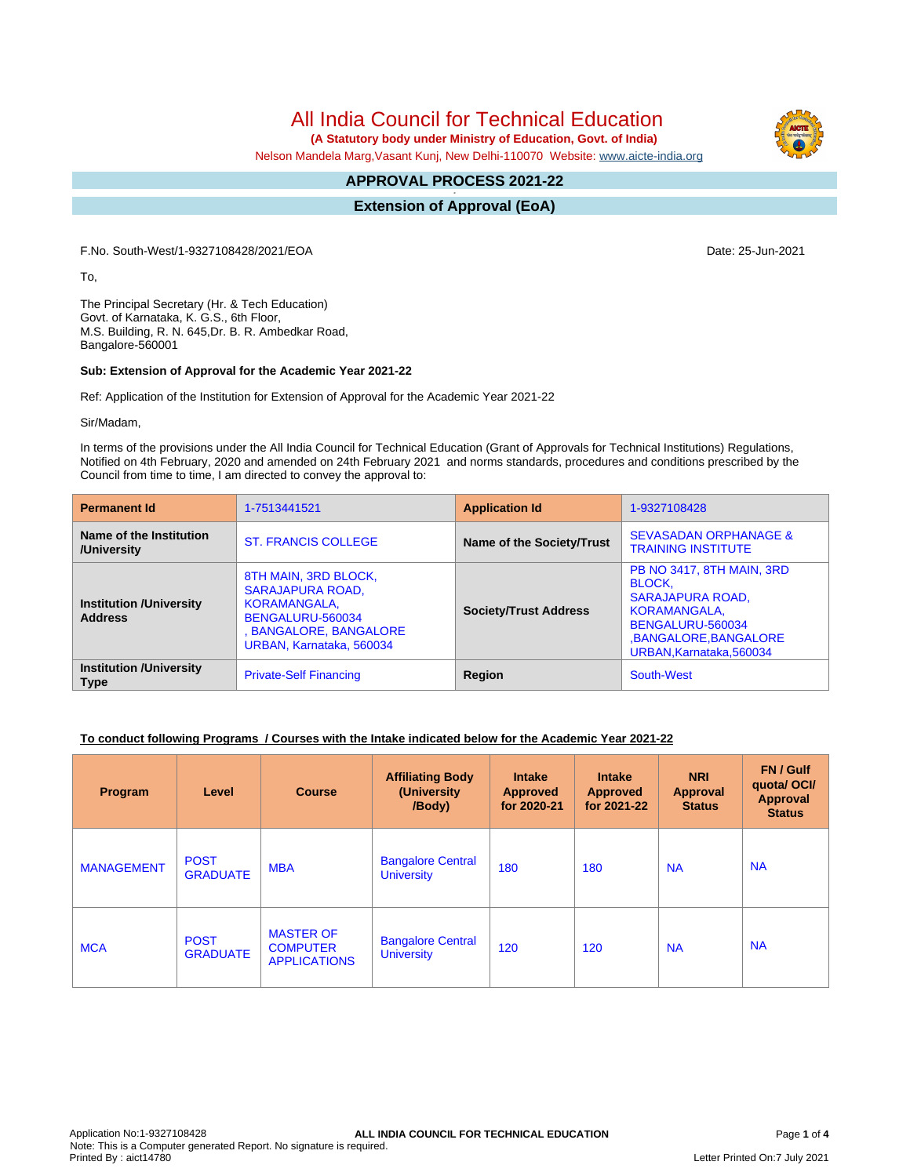# All India Council for Technical Education

 **(A Statutory body under Ministry of Education, Govt. of India)**

Nelson Mandela Marg,Vasant Kunj, New Delhi-110070 Website: [www.aicte-india.org](http://www.aicte-india.org)

#### **APPROVAL PROCESS 2021-22 -**

**Extension of Approval (EoA)**

F.No. South-West/1-9327108428/2021/EOA Date: 25-Jun-2021

To,

The Principal Secretary (Hr. & Tech Education) Govt. of Karnataka, K. G.S., 6th Floor, M.S. Building, R. N. 645,Dr. B. R. Ambedkar Road, Bangalore-560001

#### **Sub: Extension of Approval for the Academic Year 2021-22**

Ref: Application of the Institution for Extension of Approval for the Academic Year 2021-22

Sir/Madam,

In terms of the provisions under the All India Council for Technical Education (Grant of Approvals for Technical Institutions) Regulations, Notified on 4th February, 2020 and amended on 24th February 2021 and norms standards, procedures and conditions prescribed by the Council from time to time, I am directed to convey the approval to:

| <b>Permanent Id</b>                              | 1-7513441521                                                                                                                              | <b>Application Id</b>            | 1-9327108428                                                                                                                                                         |  |  |
|--------------------------------------------------|-------------------------------------------------------------------------------------------------------------------------------------------|----------------------------------|----------------------------------------------------------------------------------------------------------------------------------------------------------------------|--|--|
| Name of the Institution<br>/University           | <b>ST. FRANCIS COLLEGE</b>                                                                                                                | <b>Name of the Society/Trust</b> | <b>SEVASADAN ORPHANAGE &amp;</b><br><b>TRAINING INSTITUTE</b>                                                                                                        |  |  |
| <b>Institution /University</b><br><b>Address</b> | 8TH MAIN, 3RD BLOCK,<br><b>SARAJAPURA ROAD,</b><br>KORAMANGALA,<br>BENGALURU-560034<br>, BANGALORE, BANGALORE<br>URBAN, Karnataka, 560034 | <b>Society/Trust Address</b>     | <b>PB NO 3417, 8TH MAIN, 3RD</b><br><b>BLOCK.</b><br><b>SARAJAPURA ROAD,</b><br>KORAMANGALA,<br>BENGALURU-560034<br>,BANGALORE,BANGALORE<br>URBAN, Karnataka, 560034 |  |  |
| <b>Institution /University</b><br><b>Type</b>    | <b>Private-Self Financing</b>                                                                                                             | Region                           | South-West                                                                                                                                                           |  |  |

### **To conduct following Programs / Courses with the Intake indicated below for the Academic Year 2021-22**

| Program           | Level                          | <b>Course</b>                                              | <b>Affiliating Body</b><br>(University<br>/Body) | <b>Intake</b><br><b>Approved</b><br>for 2020-21 | <b>Intake</b><br><b>Approved</b><br>for 2021-22 | <b>NRI</b><br>Approval<br><b>Status</b> | FN / Gulf<br>quotal OCI/<br><b>Approval</b><br><b>Status</b> |
|-------------------|--------------------------------|------------------------------------------------------------|--------------------------------------------------|-------------------------------------------------|-------------------------------------------------|-----------------------------------------|--------------------------------------------------------------|
| <b>MANAGEMENT</b> | <b>POST</b><br><b>GRADUATE</b> | <b>MBA</b>                                                 | <b>Bangalore Central</b><br><b>University</b>    | 180                                             | 180                                             | <b>NA</b>                               | <b>NA</b>                                                    |
| <b>MCA</b>        | <b>POST</b><br><b>GRADUATE</b> | <b>MASTER OF</b><br><b>COMPUTER</b><br><b>APPLICATIONS</b> | <b>Bangalore Central</b><br><b>University</b>    | 120                                             | 120                                             | <b>NA</b>                               | <b>NA</b>                                                    |

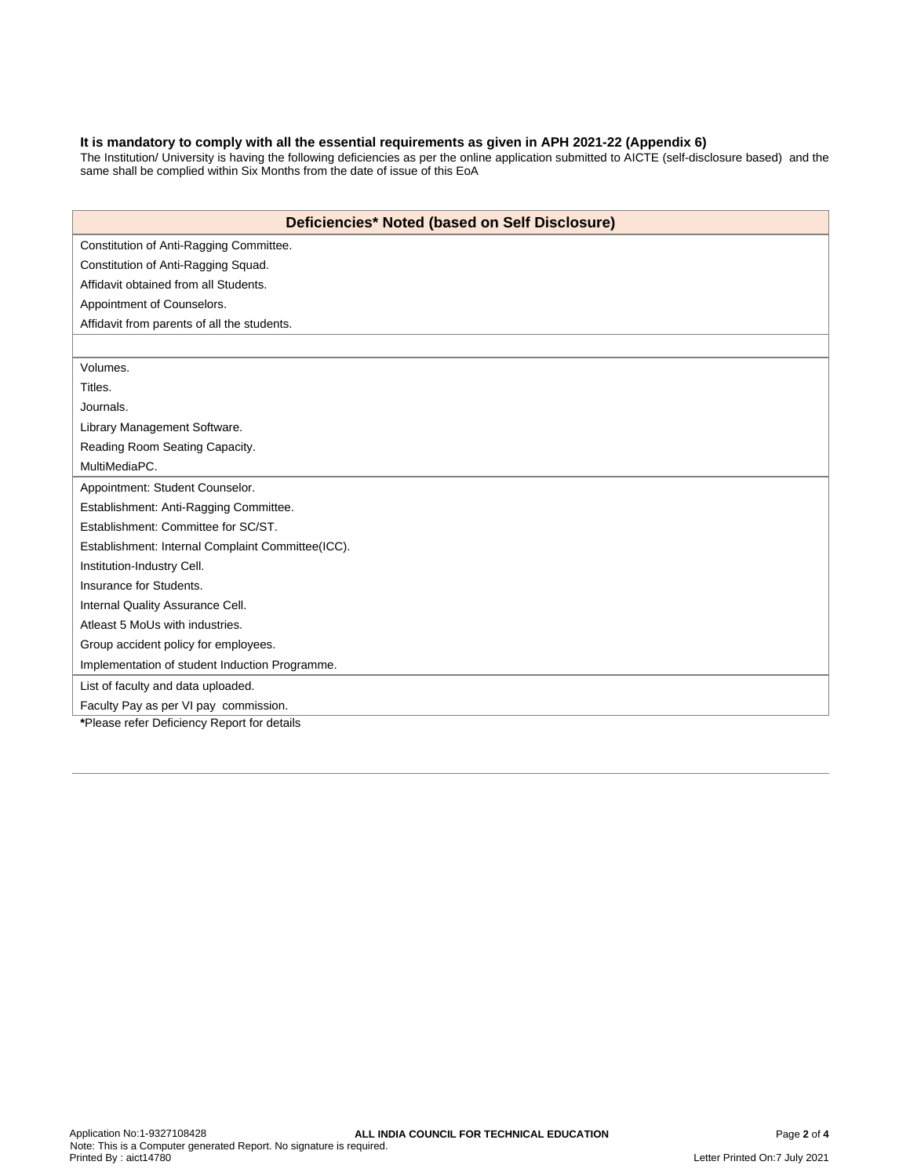#### **It is mandatory to comply with all the essential requirements as given in APH 2021-22 (Appendix 6)**

The Institution/ University is having the following deficiencies as per the online application submitted to AICTE (self-disclosure based) and the same shall be complied within Six Months from the date of issue of this EoA

| Deficiencies* Noted (based on Self Disclosure)    |  |  |  |  |
|---------------------------------------------------|--|--|--|--|
| Constitution of Anti-Ragging Committee.           |  |  |  |  |
| Constitution of Anti-Ragging Squad.               |  |  |  |  |
| Affidavit obtained from all Students.             |  |  |  |  |
| Appointment of Counselors.                        |  |  |  |  |
| Affidavit from parents of all the students.       |  |  |  |  |
|                                                   |  |  |  |  |
| Volumes.                                          |  |  |  |  |
| Titles.                                           |  |  |  |  |
| Journals.                                         |  |  |  |  |
| Library Management Software.                      |  |  |  |  |
| Reading Room Seating Capacity.                    |  |  |  |  |
| MultiMediaPC.                                     |  |  |  |  |
| Appointment: Student Counselor.                   |  |  |  |  |
| Establishment: Anti-Ragging Committee.            |  |  |  |  |
| Establishment: Committee for SC/ST.               |  |  |  |  |
| Establishment: Internal Complaint Committee(ICC). |  |  |  |  |
| Institution-Industry Cell.                        |  |  |  |  |
| Insurance for Students.                           |  |  |  |  |
| Internal Quality Assurance Cell.                  |  |  |  |  |
| Atleast 5 MoUs with industries.                   |  |  |  |  |
| Group accident policy for employees.              |  |  |  |  |
| Implementation of student Induction Programme.    |  |  |  |  |
| List of faculty and data uploaded.                |  |  |  |  |
| Faculty Pay as per VI pay commission.             |  |  |  |  |
| *Please refer Deficiency Report for details       |  |  |  |  |